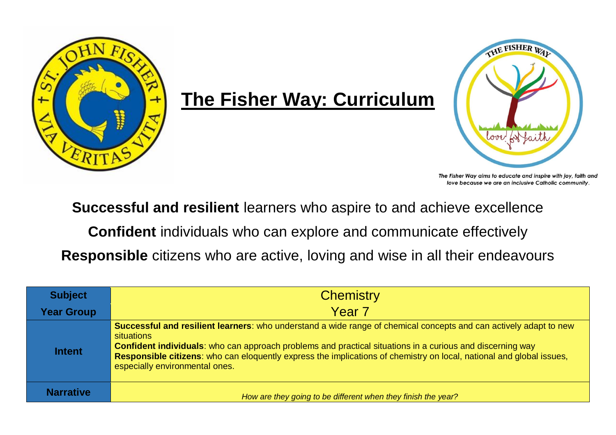

## **The Fisher Way: Curriculum**



The Fisher Way aims to educate and inspire with joy, faith and love because we are an inclusive Catholic community.

**Successful and resilient** learners who aspire to and achieve excellence

**Confident** individuals who can explore and communicate effectively

**Responsible** citizens who are active, loving and wise in all their endeavours

| <b>Subject</b>    | <b>Chemistry</b>                                                                                                                                                                                                                                                                                                                                                                                              |  |  |  |  |  |
|-------------------|---------------------------------------------------------------------------------------------------------------------------------------------------------------------------------------------------------------------------------------------------------------------------------------------------------------------------------------------------------------------------------------------------------------|--|--|--|--|--|
| <b>Year Group</b> | Year <sub>7</sub>                                                                                                                                                                                                                                                                                                                                                                                             |  |  |  |  |  |
| <b>Intent</b>     | Successful and resilient learners: who understand a wide range of chemical concepts and can actively adapt to new<br>situations<br><b>Confident individuals:</b> who can approach problems and practical situations in a curious and discerning way<br>Responsible citizens: who can eloquently express the implications of chemistry on local, national and global issues,<br>especially environmental ones. |  |  |  |  |  |
| <b>Narrative</b>  | How are they going to be different when they finish the year?                                                                                                                                                                                                                                                                                                                                                 |  |  |  |  |  |